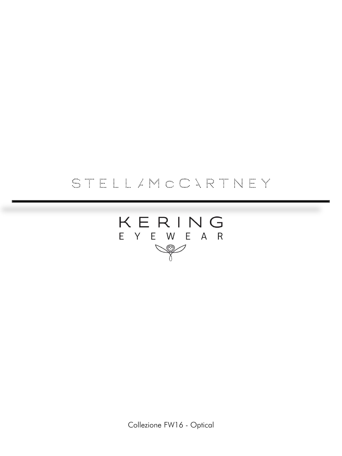# STELLAMOONRTNEY



Collezione FW16 - Optical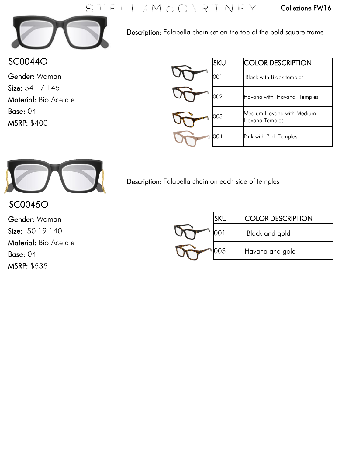## STELL / MOONRTNEY



Description: Falabella chain set on the top of the bold square frame

### SC0044O

Gender: Woman Size: 54 17 145 Material: Bio Acetate Base: 04 MSRP: \$400

| <b>SKU</b> | <b>COLOR DESCRIPTION</b>                    |
|------------|---------------------------------------------|
| 001        | <b>Black with Black temples</b>             |
| 002        | Havana with Havana Temples                  |
| 003        | Medium Havana with Medium<br>Havana Temples |
| 704        | Pink with Pink Temples                      |



Description: Falabella chain on each side of temples

SC0045O Gender: Woman Size: 50 19 140 Material: Bio Acetate Base: 04 MSRP: \$535

|    | <b>ICOLOR DESCRIPTION</b> |
|----|---------------------------|
|    | Black and gold            |
| 03 | Havana and gold           |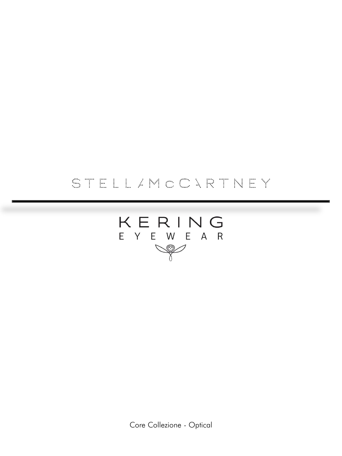# STELLAMOONRTNEY



Core Collezione - Optical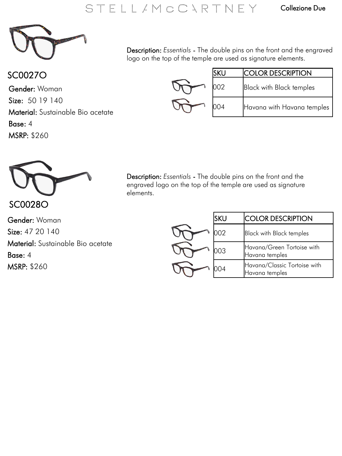

### SC0027O

Gender: Woman Size: 50 19 140 Material: Sustainable Bio acetate Base: 4 MSRP: \$260

Description: *Essentials* - The double pins on the front and the engraved logo on the top of the temple are used as signature elements.

|  | <b>ICOLOR DESCRIPTION</b>       |
|--|---------------------------------|
|  | <b>Black with Black temples</b> |
|  | Havana with Havana temples      |



Description: *Essentials* - The double pins on the front and the engraved logo on the top of the temple are used as signature elements.

Gender: Woman Size: 47 20 140 Material: Sustainable Bio acetate Base: 4 MSRP: \$260

| lsku | <b>COLOR DESCRIPTION</b>                       |
|------|------------------------------------------------|
|      | <b>Black with Black temples</b>                |
|      | Havana/Green Tortoise with<br>Havana temples   |
|      | Havana/Classic Tortoise with<br>Havana temples |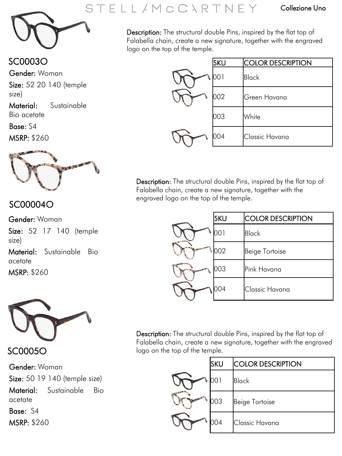SC0003O

Gender: Woman

Size: 52 20 140 (temple size)

Material: Sustainable Bio acetate

Base: S4 MSRP: \$260



#### SC00004O

Gender: Woman

Size: 52 17 140 (temple size)

Material: Sustainable Bio acetate

MSRP: \$260



SC0005O

Gender: Woman Size: 50 19 140 (temple size) Material: Sustainable Bio acetate

Base: S4 MSRP: \$260



Description: The structural double Pins, inspired by the flat top of Falabella chain, create a new signature, together with the engraved logo on the top of the temple.

| <b>SKU</b> | <b>COLOR DESCRIPTION</b> |
|------------|--------------------------|
| 001        | Black                    |
| 002        | Green Havana             |
| 003        | White                    |
| 004        | Classic Havana           |

Description: The structural double Pins, inspired by the flat top of Falabella chain, create a new signature, together with the engraved logo on the top of the temple.

|         | <b>SKU</b> | <b>COLOR DESCRIPTION</b> |
|---------|------------|--------------------------|
| 1.22    | ו 0כ       | <b>Black</b>             |
|         | 002        | <b>Beige Tortoise</b>    |
| 21/2.38 | 003        | Pink Havana              |
|         | 004        | Classic Havana           |

Description: The structural double Pins, inspired by the flat top of Falabella chain, create a new signature, together with the engraved logo on the top of the temple.

| <b>SKU</b> | <b>COLOR DESCRIPTION</b> |
|------------|--------------------------|
|            | Black                    |
| 003        | Beige Tortoise           |
| 004        | Classic Havana           |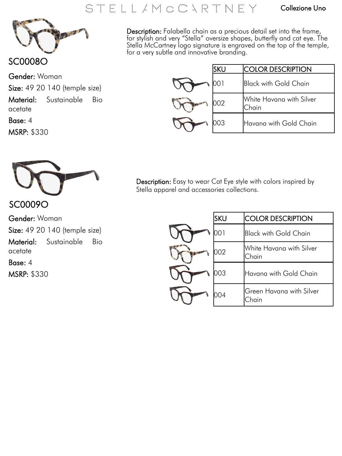### STELL / MOONRTNEY

#### Collezione Uno



SC0008O

MSRP: \$330

Gender: Woman Size: 49 20 140 (temple size) Material: Sustainable Bio acetate Base: 4

Description: Falabella chain as a precious detail set into the frame, for stylish and very "Stella" oversize shapes, butterfly and cat eye. The Stella McCartney logo signature is engraved on the top of the temple, for a very subtle and innovative branding.

| <b>SKU</b> | <b>COLOR DESCRIPTION</b>          |
|------------|-----------------------------------|
|            | Black with Gold Chain             |
|            | White Havana with Silver<br>Chain |
|            | Havana with Gold Chain            |



SC0009O Gender: Woman

Size: 49 20 140 (temple size) Material: Sustainable Bio acetate

Base: 4 MSRP: \$330 Description: Easy to wear Cat Eye style with colors inspired by Stella apparel and accessories collections.

| SKU | <b>COLOR DESCRIPTION</b>          |
|-----|-----------------------------------|
|     | <b>Black with Gold Chain</b>      |
| 002 | White Havana with Silver<br>Chain |
| 203 | Havana with Gold Chain            |
|     | Green Havana with Silver<br>Chain |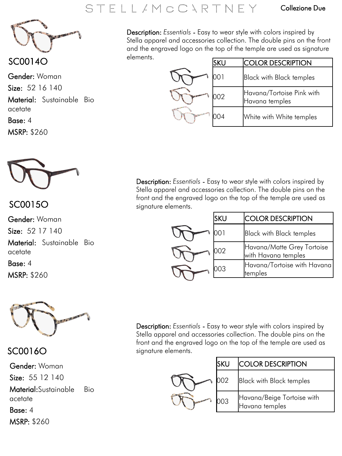## STELL / M O C VR T N E Y

#### Collezione Due



SC0014O

Gender: Woman Size: 52 16 140 Material: Sustainable Bio acetate Base: 4

MSRP: \$260



### SC0015O

Gender: Woman Size: 52 17 140 Material: Sustainable Bio acetate

Base: 4 MSRP: \$260



SC0016O

Gender: Woman

Size: 55 12 140

Material:Sustainable Bio acetate

Base: 4 MSRP: \$260 Description: *Essentials* - Easy to wear style with colors inspired by Stella apparel and accessories collection. The double pins on the front and the engraved logo on the top of the temple are used as signature elements.

| SKU | <b>COLOR DESCRIPTION</b>                    |
|-----|---------------------------------------------|
|     | <b>Black with Black temples</b>             |
| າດາ | Havana/Tortoise Pink with<br>Havana temples |
| (1) | White with White temples                    |

Description: *Essentials* - Easy to wear style with colors inspired by Stella apparel and accessories collection. The double pins on the front and the engraved logo on the top of the temple are used as signature elements.

| sku | <b>COLOR DESCRIPTION</b>                          |
|-----|---------------------------------------------------|
|     | <b>Black with Black temples</b>                   |
| 102 | Havana/Matte Grey Tortoise<br>with Havana temples |
| 003 | Havana/Tortoise with Havana<br>temples            |

Description: *Essentials* - Easy to wear style with colors inspired by Stella apparel and accessories collection. The double pins on the front and the engraved logo on the top of the temple are used as signature elements.

| isku | <b>COLOR DESCRIPTION</b>                     |
|------|----------------------------------------------|
|      | <b>Black with Black temples</b>              |
| )N.3 | Havana/Beige Tortoise with<br>Havana temples |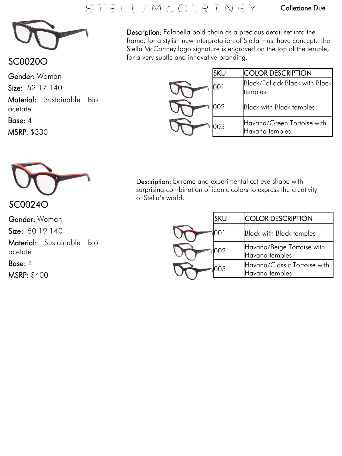## STELL/MOONRTNEY

#### Collezione Due



### SC0020O

Gender: Woman

Size: 52 17 140

Material: Sustainable Bio acetate

Base: 4

MSRP: \$330



SC0024O

Gender: Woman Size: 50 19 140 Material: Sustainable Bio acetate

Base: 4 MSRP: \$400 Description: Falabella bold chain as a precious detail set into the frame, for a stylish new interpretation of Stella must have concept. The Stella McCartney logo signature is engraved on the top of the temple, for a very subtle and innovative branding.

| SKU | <b>COLOR DESCRIPTION</b>                         |
|-----|--------------------------------------------------|
|     | <b>Black/Pollock Black with Black</b><br>temples |
| 002 | <b>Black with Black temples</b>                  |
| 003 | Havana/Green Tortoise with<br>Havana temples     |

Description: Extreme and experimental cat eye shape with surprising combination of iconic colors to express the creativity of Stella's world.

| SKU | <b>ICOLOR DESCRIPTION</b>                      |
|-----|------------------------------------------------|
|     | <b>Black with Black temples</b>                |
| 202 | Havana/Beige Tortoise with<br>Havana temples   |
| 203 | Havana/Classic Tortoise with<br>Havana temples |